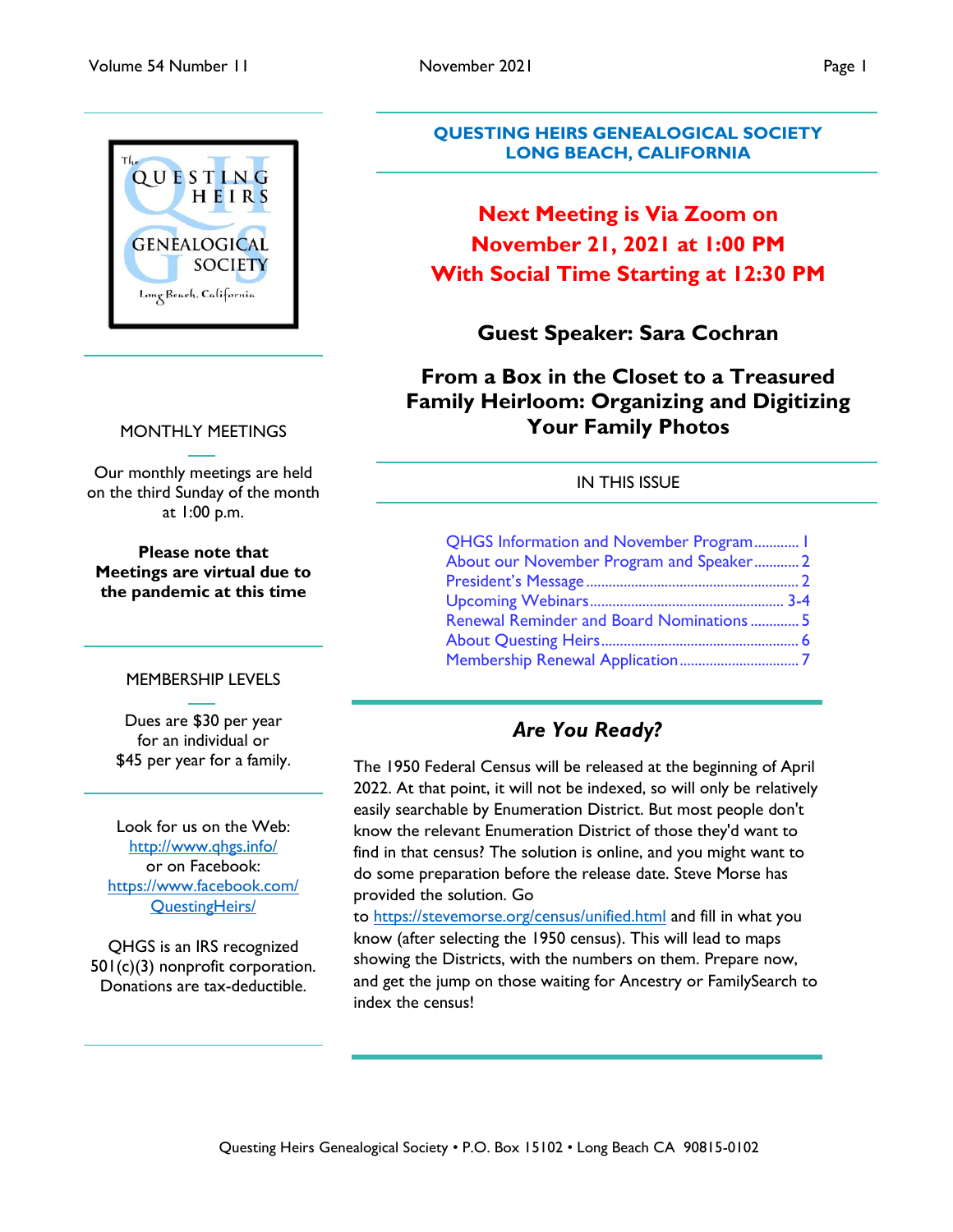

## MONTHLY MEETINGS

Our monthly meetings are held on the third Sunday of the month at 1:00 p.m.

**Please note that Meetings are virtual due to the pandemic at this time**

## MEMBERSHIP LEVELS

Dues are \$30 per year for an individual or \$45 per year for a family.

Look for us on the Web: <http://www.qhgs.info/> or on Facebook: [https://www.facebook.com/](https://www.facebook.com/%20QuestingHeirs/)  [QuestingHeirs/](https://www.facebook.com/%20QuestingHeirs/)

QHGS is an IRS recognized 501(c)(3) nonprofit corporation. Donations are tax-deductible.

## **QUESTING HEIRS GENEALOGICAL SOCIETY LONG BEACH, CALIFORNIA**

# **Next Meeting is Via Zoom on November 21, 2021 at 1:00 PM With Social Time Starting at 12:30 PM**

## **Guest Speaker: Sara Cochran**

## **From a Box in the Closet to a Treasured Family Heirloom: Organizing and Digitizing Your Family Photos**

## IN THIS ISSUE

| <b>QHGS Information and November Program I</b> |  |
|------------------------------------------------|--|
| About our November Program and Speaker 2       |  |
|                                                |  |
|                                                |  |
| Renewal Reminder and Board Nominations  5      |  |
|                                                |  |
|                                                |  |

# *Are You Ready?*

The 1950 Federal Census will be released at the beginning of April 2022. At that point, it will not be indexed, so will only be relatively easily searchable by Enumeration District. But most people don't know the relevant Enumeration District of those they'd want to find in that census? The solution is online, and you might want to do some preparation before the release date. Steve Morse has provided the solution. Go

to <https://stevemorse.org/census/unified.html> and fill in what you know (after selecting the 1950 census). This will lead to maps showing the Districts, with the numbers on them. Prepare now, and get the jump on those waiting for Ancestry or FamilySearch to index the census!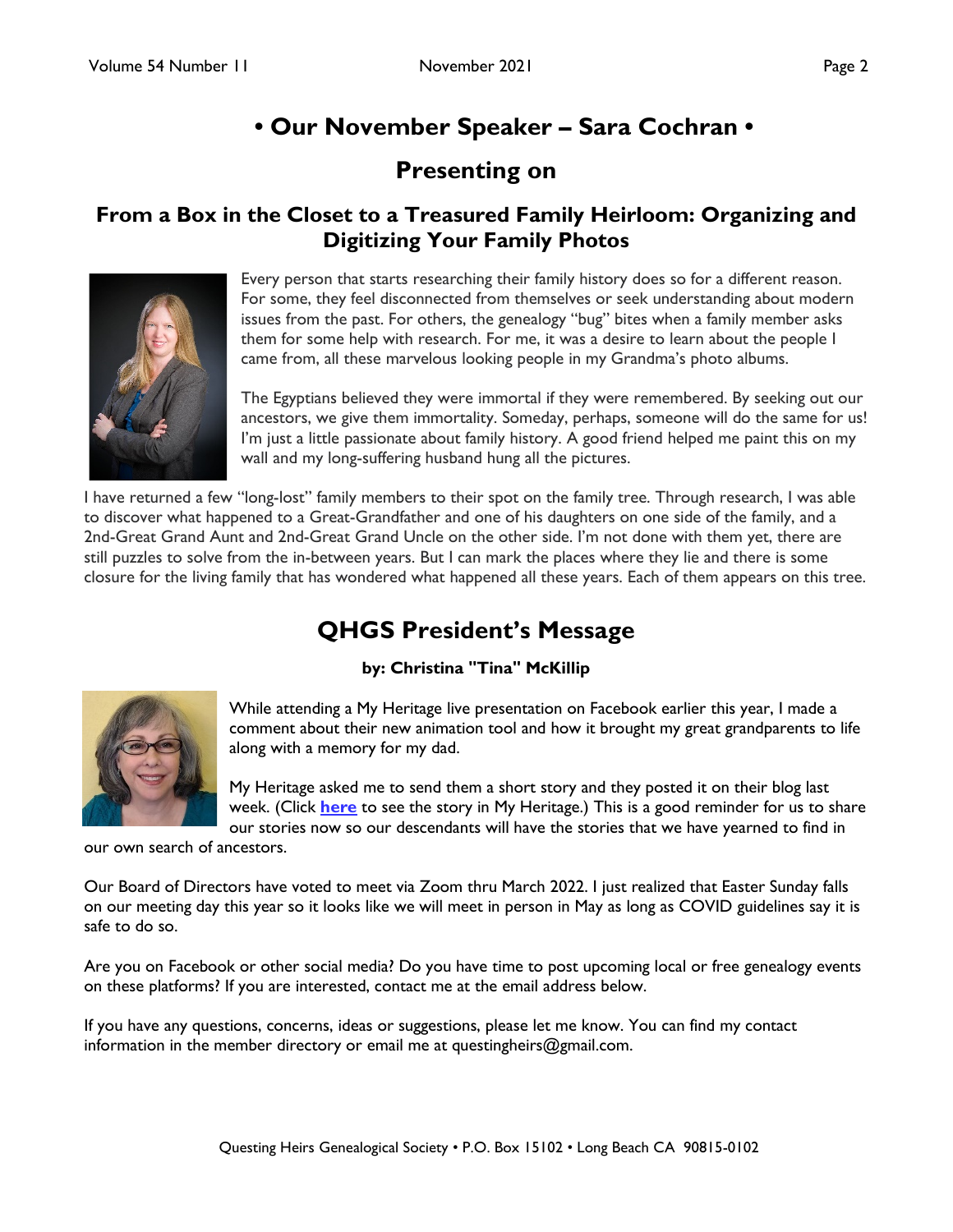# **• Our November Speaker – Sara Cochran •**

# **Presenting on**

## <span id="page-1-0"></span>**From a Box in the Closet to a Treasured Family Heirloom: Organizing and Digitizing Your Family Photos**



Every person that starts researching their family history does so for a different reason. For some, they feel disconnected from themselves or seek understanding about modern issues from the past. For others, the genealogy "bug" bites when a family member asks them for some help with research. For me, it was a desire to learn about the people I came from, all these marvelous looking people in my Grandma's photo albums.

The Egyptians believed they were immortal if they were remembered. By seeking out our ancestors, we give them immortality. Someday, perhaps, someone will do the same for us! I'm just a little passionate about family history. A good friend helped me paint this on my wall and my long-suffering husband hung all the pictures.

I have returned a few "long-lost" family members to their spot on the family tree. Through research, I was able to discover what happened to a Great-Grandfather and one of his daughters on one side of the family, and a 2nd-Great Grand Aunt and 2nd-Great Grand Uncle on the other side. I'm not done with them yet, there are still puzzles to solve from the in-between years. But I can mark the places where they lie and there is some closure for the living family that has wondered what happened all these years. Each of them appears on this tree.

# **QHGS President's Message**

## **by: Christina "Tina" McKillip**



While attending a My Heritage live presentation on Facebook earlier this year, I made a comment about their new animation tool and how it brought my great grandparents to life along with a memory for my dad.

My Heritage asked me to send them a short story and they posted it on their blog last week. (Click **[here](https://blog.myheritage.com/2021/10/the-deep-nostalgia-animation-of-my-dads-grandma-made-him-a-little-boy-again-for-a-moment/?utm_source=organic_facebook&utm_medium=social&utm_campaign=web&tr_funnel=web&tr_country=US&tr_creative=Christina_user_story&utm_content=Christina_user_story&fbclid=IwAR2Me9wUslvb5hNNOR0LQM40t9bYjGu_dwgfbiEMJ7ZxEYRHVQ7WqZnvINw)** to see the story in My Heritage.) This is a good reminder for us to share our stories now so our descendants will have the stories that we have yearned to find in

our own search of ancestors.

Our Board of Directors have voted to meet via Zoom thru March 2022. I just realized that Easter Sunday falls on our meeting day this year so it looks like we will meet in person in May as long as COVID guidelines say it is safe to do so.

Are you on Facebook or other social media? Do you have time to post upcoming local or free genealogy events on these platforms? If you are interested, contact me at the email address below.

If you have any questions, concerns, ideas or suggestions, please let me know. You can find my contact information in the member directory or email me at questingheirs@gmail.com.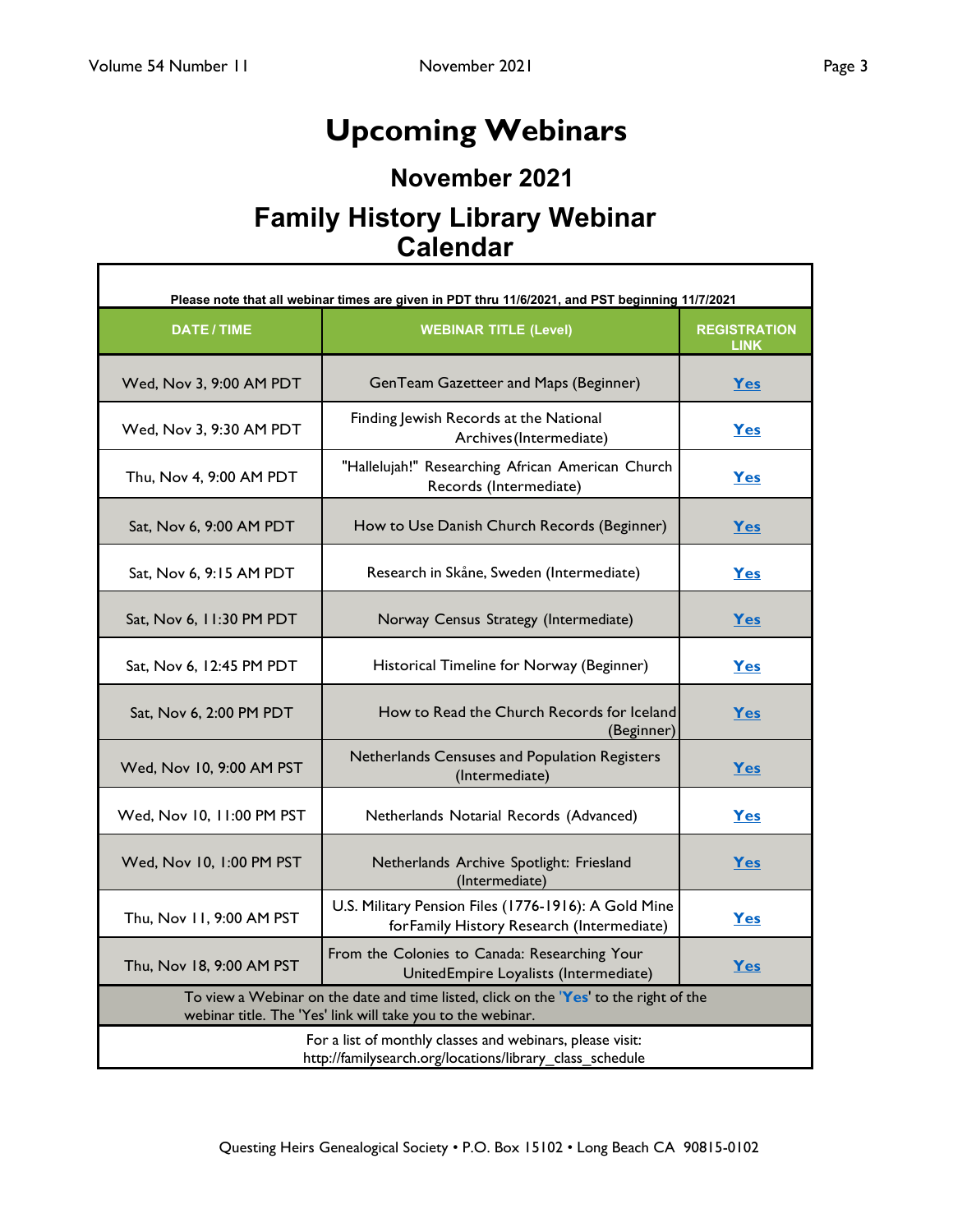<span id="page-2-0"></span>Г

# **Upcoming Webinars**

# **November 2021**

# **Family History Library Webinar Calendar**

| Please note that all webinar times are given in PDT thru 11/6/2021, and PST beginning 11/7/2021                                                      |                                                                                                    |                                    |  |  |
|------------------------------------------------------------------------------------------------------------------------------------------------------|----------------------------------------------------------------------------------------------------|------------------------------------|--|--|
| <b>DATE/TIME</b>                                                                                                                                     | <b>WEBINAR TITLE (Level)</b>                                                                       | <b>REGISTRATION</b><br><b>LINK</b> |  |  |
| Wed, Nov 3, 9:00 AM PDT                                                                                                                              | GenTeam Gazetteer and Maps (Beginner)                                                              | Yes                                |  |  |
| Wed, Nov 3, 9:30 AM PDT                                                                                                                              | Finding Jewish Records at the National<br>Archives (Intermediate)                                  | Yes                                |  |  |
| Thu, Nov 4, 9:00 AM PDT                                                                                                                              | "Hallelujah!" Researching African American Church<br>Records (Intermediate)                        | Yes                                |  |  |
| Sat, Nov 6, 9:00 AM PDT                                                                                                                              | How to Use Danish Church Records (Beginner)                                                        | Yes                                |  |  |
| Sat, Nov 6, 9:15 AM PDT                                                                                                                              | Research in Skåne, Sweden (Intermediate)                                                           | Yes                                |  |  |
| Sat, Nov 6, 11:30 PM PDT                                                                                                                             | Norway Census Strategy (Intermediate)                                                              | Yes                                |  |  |
| Sat, Nov 6, 12:45 PM PDT                                                                                                                             | Historical Timeline for Norway (Beginner)                                                          | Yes                                |  |  |
| Sat, Nov 6, 2:00 PM PDT                                                                                                                              | How to Read the Church Records for Iceland<br>(Beginner)                                           | Yes                                |  |  |
| Wed, Nov 10, 9:00 AM PST                                                                                                                             | Netherlands Censuses and Population Registers<br>(Intermediate)                                    | Yes                                |  |  |
| Wed, Nov 10, 11:00 PM PST                                                                                                                            | Netherlands Notarial Records (Advanced)                                                            |                                    |  |  |
| Wed, Nov 10, 1:00 PM PST<br>Netherlands Archive Spotlight: Friesland<br>(Intermediate)                                                               |                                                                                                    | Yes                                |  |  |
| Thu, Nov 11, 9:00 AM PST                                                                                                                             | U.S. Military Pension Files (1776-1916): A Gold Mine<br>for Family History Research (Intermediate) | Yes                                |  |  |
| Thu, Nov 18, 9:00 AM PST                                                                                                                             | From the Colonies to Canada: Researching Your<br>UnitedEmpire Loyalists (Intermediate)             | Yes                                |  |  |
| To view a Webinar on the date and time listed, click on the 'Yes' to the right of the<br>webinar title. The 'Yes' link will take you to the webinar. |                                                                                                    |                                    |  |  |
| For a list of monthly classes and webinars, please visit:<br>http://familysearch.org/locations/library_class_schedule                                |                                                                                                    |                                    |  |  |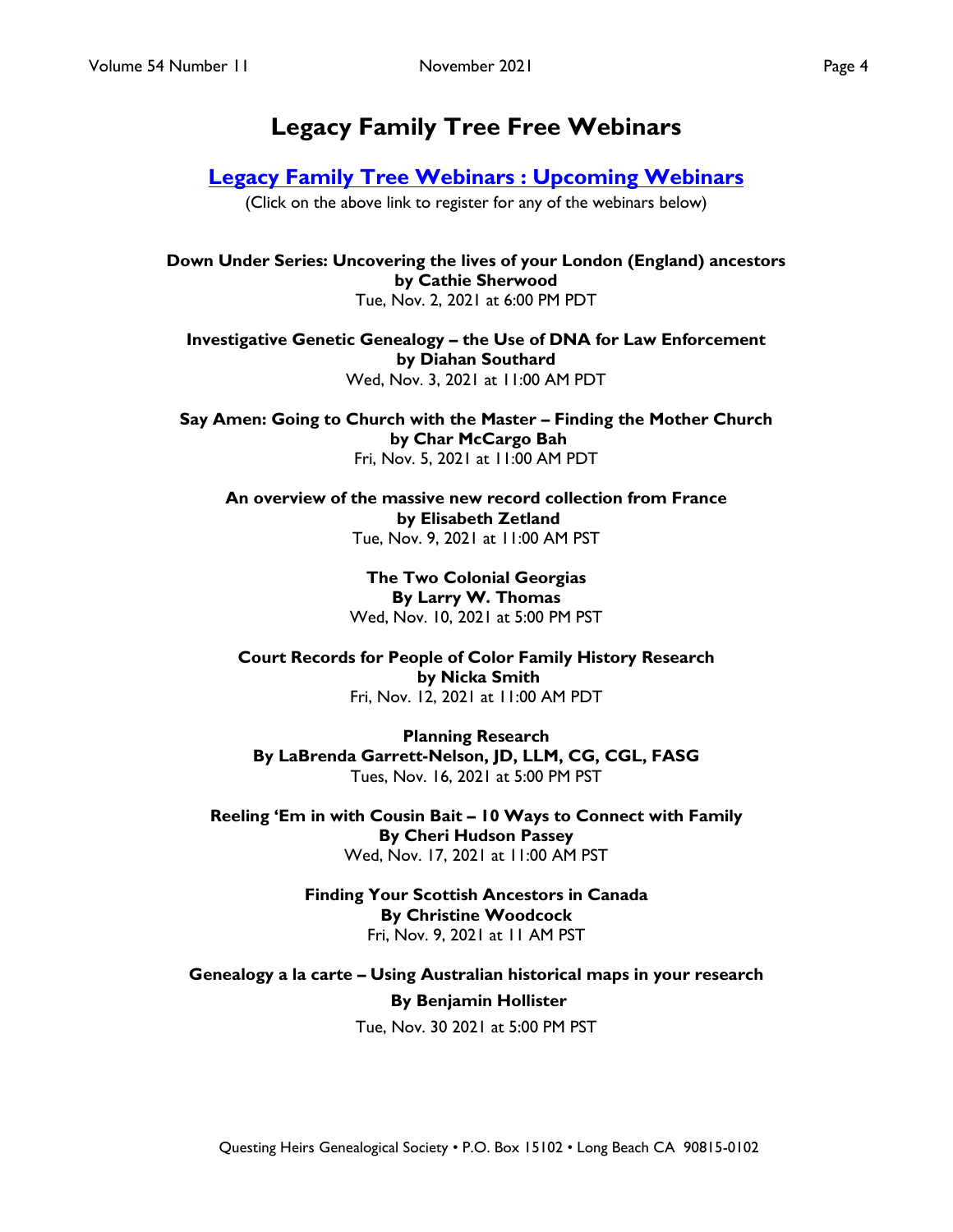# **Legacy Family Tree Free Webinars**

## **[Legacy Family Tree Webinars : Upcoming Webinars](https://familytreewebinars.com/upcoming-webinars.php)**

(Click on the above link to register for any of the webinars below)

**Down Under Series: Uncovering the lives of your London (England) ancestors by Cathie Sherwood** Tue, Nov. 2, 2021 at 6:00 PM PDT

**Investigative Genetic Genealogy – the Use of DNA for Law Enforcement by Diahan Southard** Wed, Nov. 3, 2021 at 11:00 AM PDT

**Say Amen: Going to Church with the Master – Finding the Mother Church by Char McCargo Bah** Fri, Nov. 5, 2021 at 11:00 AM PDT

**An overview of the massive new record collection from France by Elisabeth Zetland** Tue, Nov. 9, 2021 at 11:00 AM PST

> **The Two Colonial Georgias By Larry W. Thomas** Wed, Nov. 10, 2021 at 5:00 PM PST

**Court Records for People of Color Family History Research by Nicka Smith** Fri, Nov. 12, 2021 at 11:00 AM PDT

**Planning Research By LaBrenda Garrett-Nelson, JD, LLM, CG, CGL, FASG** Tues, Nov. 16, 2021 at 5:00 PM PST

**Reeling 'Em in with Cousin Bait – 10 Ways to Connect with Family By Cheri Hudson Passey** Wed, Nov. 17, 2021 at 11:00 AM PST

> **Finding Your Scottish Ancestors in Canada By Christine Woodcock** Fri, Nov. 9, 2021 at 11 AM PST

**Genealogy a la carte – Using Australian historical maps in your research By Benjamin Hollister** Tue, Nov. 30 2021 at 5:00 PM PST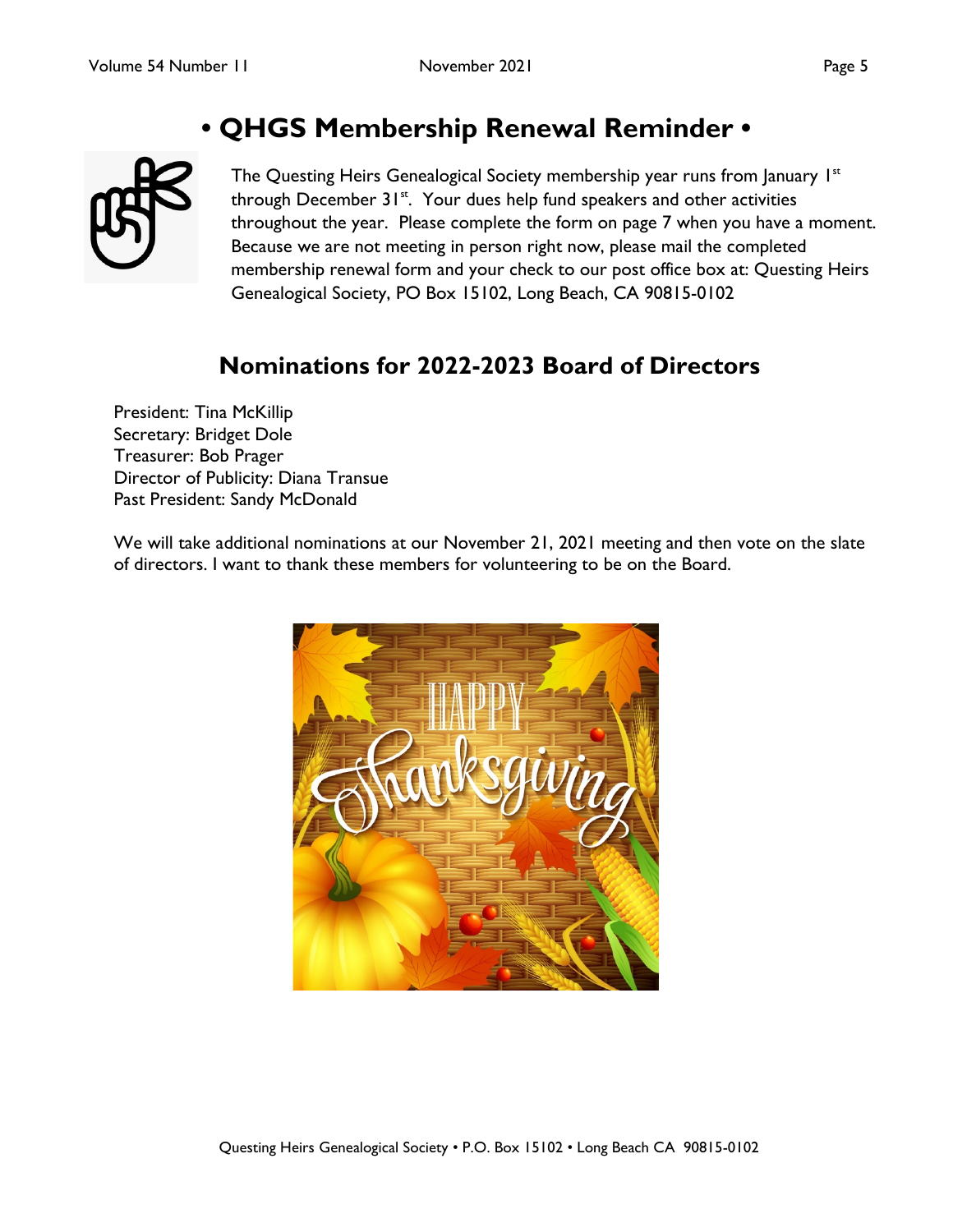# **• QHGS Membership Renewal Reminder •**

<span id="page-4-0"></span>

The Questing Heirs Genealogical Society membership year runs from January  $1<sup>st</sup>$ through December  $31<sup>st</sup>$ . Your dues help fund speakers and other activities throughout the year. Please complete the form on page 7 when you have a moment. Because we are not meeting in person right now, please mail the completed membership renewal form and your check to our post office box at: Questing Heirs Genealogical Society, PO Box 15102, Long Beach, CA 90815-0102

# **Nominations for 2022-2023 Board of Directors**

President: Tina McKillip Secretary: Bridget Dole Treasurer: Bob Prager Director of Publicity: Diana Transue Past President: Sandy McDonald

We will take additional nominations at our November 21, 2021 meeting and then vote on the slate of directors. I want to thank these members for volunteering to be on the Board.

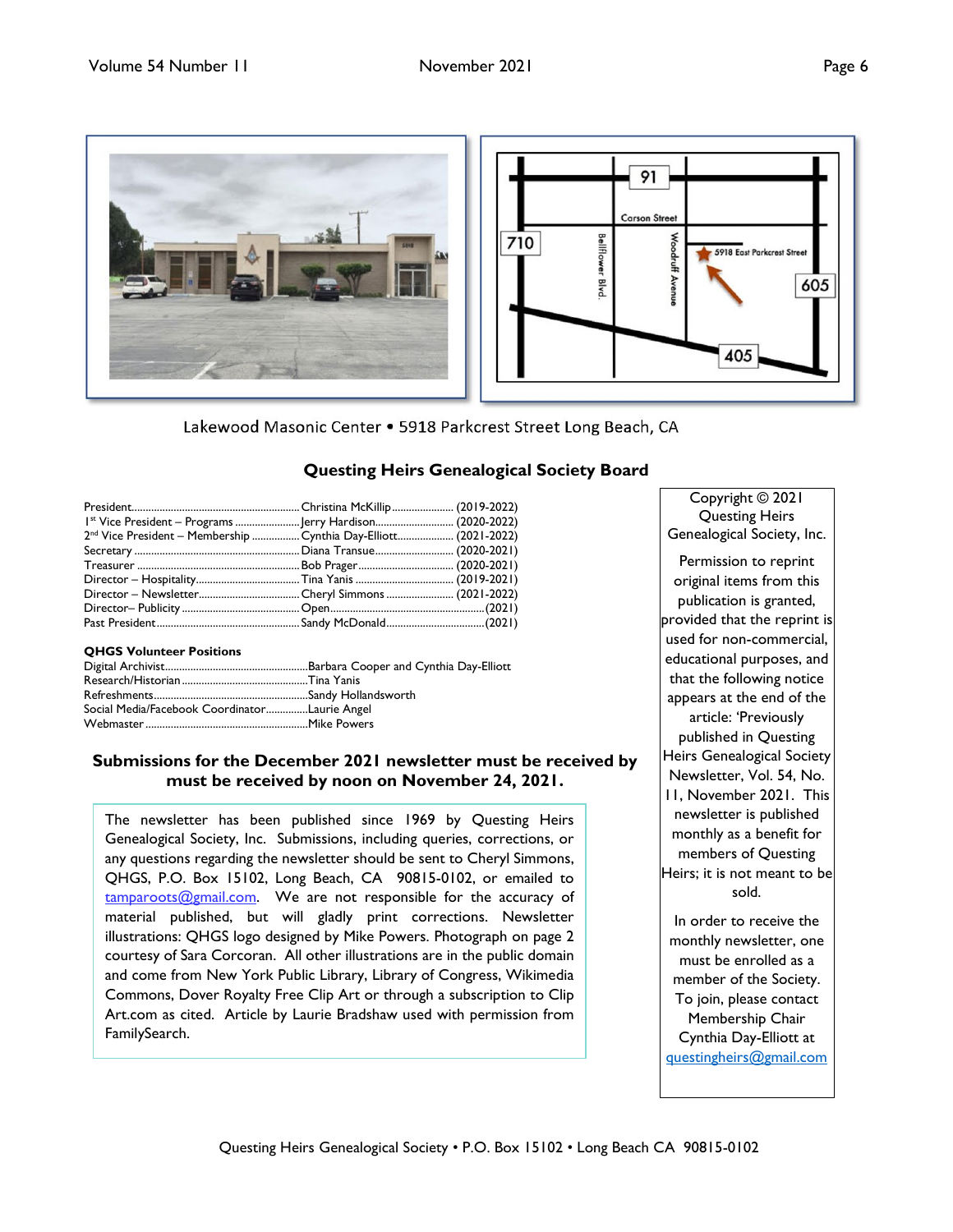<span id="page-5-0"></span>

Lakewood Masonic Center . 5918 Parkcrest Street Long Beach, CA

## **Questing Heirs Genealogical Society Board**

| 1 <sup>st</sup> Vice President – Programs  Jerry Hardison (2020-2022)        |  |
|------------------------------------------------------------------------------|--|
| 2 <sup>nd</sup> Vice President - Membership  Cynthia Day-Elliott (2021-2022) |  |
|                                                                              |  |
|                                                                              |  |
|                                                                              |  |
|                                                                              |  |
|                                                                              |  |
|                                                                              |  |

### **QHGS Volunteer Positions**

| Social Media/Facebook CoordinatorLaurie Angel |  |
|-----------------------------------------------|--|
|                                               |  |
|                                               |  |

## **Submissions for the December 2021 newsletter must be received by must be received by noon on November 24, 2021.**

The newsletter has been published since 1969 by Questing Heirs Genealogical Society, Inc. Submissions, including queries, corrections, or any questions regarding the newsletter should be sent to Cheryl Simmons, QHGS, P.O. Box 15102, Long Beach, CA 90815-0102, or emailed to [tamparoots@gmail.com.](mailto:tamparoots@gmail.com) We are not responsible for the accuracy of material published, but will gladly print corrections. Newsletter illustrations: QHGS logo designed by Mike Powers. Photograph on page 2 courtesy of Sara Corcoran. All other illustrations are in the public domain and come from New York Public Library, Library of Congress, Wikimedia Commons, Dover Royalty Free Clip Art or through a subscription to Clip Art.com as cited. Article by Laurie Bradshaw used with permission from FamilySearch.

Copyright © 2021 Questing Heirs Genealogical Society, Inc.

Permission to reprint original items from this publication is granted, provided that the reprint is used for non-commercial, educational purposes, and that the following notice appears at the end of the article: 'Previously published in Questing Heirs Genealogical Society Newsletter, Vol. 54, No. 11, November 2021. This newsletter is published monthly as a benefit for members of Questing Heirs; it is not meant to be sold. In order to receive the

monthly newsletter, one must be enrolled as a member of the Society. To join, please contact Membership Chair Cynthia Day-Elliott at [questingheirs@gmail.com](mailto:questingheirs@gmail.com)